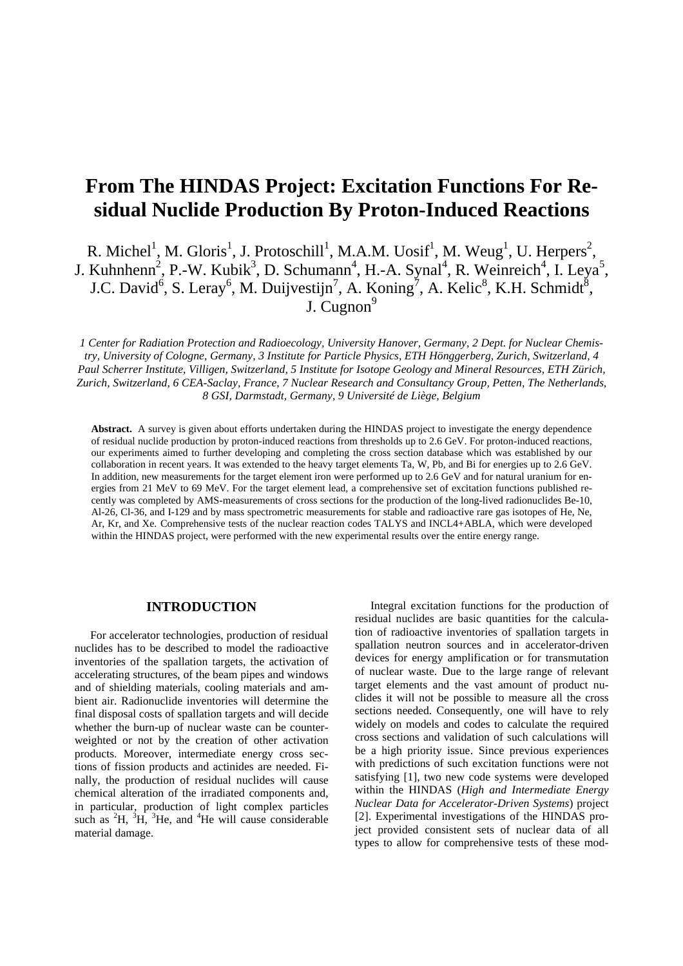# **From The HINDAS Project: Excitation Functions For Residual Nuclide Production By Proton-Induced Reactions**

R. Michel<sup>1</sup>, M. Gloris<sup>1</sup>, J. Protoschill<sup>1</sup>, M.A.M. Uosif<sup>1</sup>, M. Weug<sup>1</sup>, U. Herpers<sup>2</sup>, J. Kuhnhenn<sup>2</sup>, P.-W. Kubik<sup>3</sup>, D. Schumann<sup>4</sup>, H.-A. Synal<sup>4</sup>, R. Weinreich<sup>4</sup>, I. Leya<sup>5</sup>, J.C. David<sup>6</sup>, S. Leray<sup>6</sup>, M. Duijvestijn<sup>7</sup>, A. Koning<sup>7</sup>, A. Kelic<sup>8</sup>, K.H. Schmidt<sup>8</sup>, J. Cugnon $9$ 

*1 Center for Radiation Protection and Radioecology, University Hanover, Germany, 2 Dept. for Nuclear Chemistry, University of Cologne, Germany, 3 Institute for Particle Physics, ETH Hönggerberg, Zurich, Switzerland, 4 Paul Scherrer Institute, Villigen, Switzerland, 5 Institute for Isotope Geology and Mineral Resources, ETH Zürich, Zurich, Switzerland, 6 CEA-Saclay, France, 7 Nuclear Research and Consultancy Group, Petten, The Netherlands, 8 GSI, Darmstadt, Germany, 9 Université de Liège, Belgium*

**Abstract.** A survey is given about efforts undertaken during the HINDAS project to investigate the energy dependence of residual nuclide production by proton-induced reactions from thresholds up to 2.6 GeV. For proton-induced reactions, our experiments aimed to further developing and completing the cross section database which was established by our collaboration in recent years. It was extended to the heavy target elements Ta, W, Pb, and Bi for energies up to 2.6 GeV. In addition, new measurements for the target element iron were performed up to 2.6 GeV and for natural uranium for energies from 21 MeV to 69 MeV. For the target element lead, a comprehensive set of excitation functions published recently was completed by AMS-measurements of cross sections for the production of the long-lived radionuclides Be-10, Al-26, Cl-36, and I-129 and by mass spectrometric measurements for stable and radioactive rare gas isotopes of He, Ne, Ar, Kr, and Xe. Comprehensive tests of the nuclear reaction codes TALYS and INCL4+ABLA, which were developed within the HINDAS project, were performed with the new experimental results over the entire energy range.

#### **INTRODUCTION**

For accelerator technologies, production of residual nuclides has to be described to model the radioactive inventories of the spallation targets, the activation of accelerating structures, of the beam pipes and windows and of shielding materials, cooling materials and ambient air. Radionuclide inventories will determine the final disposal costs of spallation targets and will decide whether the burn-up of nuclear waste can be counterweighted or not by the creation of other activation products. Moreover, intermediate energy cross sections of fission products and actinides are needed. Finally, the production of residual nuclides will cause chemical alteration of the irradiated components and, in particular, production of light complex particles such as  ${}^{2}H$ ,  ${}^{3}H$ ,  ${}^{3}He$ , and  ${}^{4}He$  will cause considerable material damage.

Integral excitation functions for the production of residual nuclides are basic quantities for the calculation of radioactive inventories of spallation targets in spallation neutron sources and in accelerator-driven devices for energy amplification or for transmutation of nuclear waste. Due to the large range of relevant target elements and the vast amount of product nuclides it will not be possible to measure all the cross sections needed. Consequently, one will have to rely widely on models and codes to calculate the required cross sections and validation of such calculations will be a high priority issue. Since previous experiences with predictions of such excitation functions were not satisfying [1], two new code systems were developed within the HINDAS (*High and Intermediate Energy Nuclear Data for Accelerator-Driven Systems*) project [2]. Experimental investigations of the HINDAS project provided consistent sets of nuclear data of all types to allow for comprehensive tests of these mod-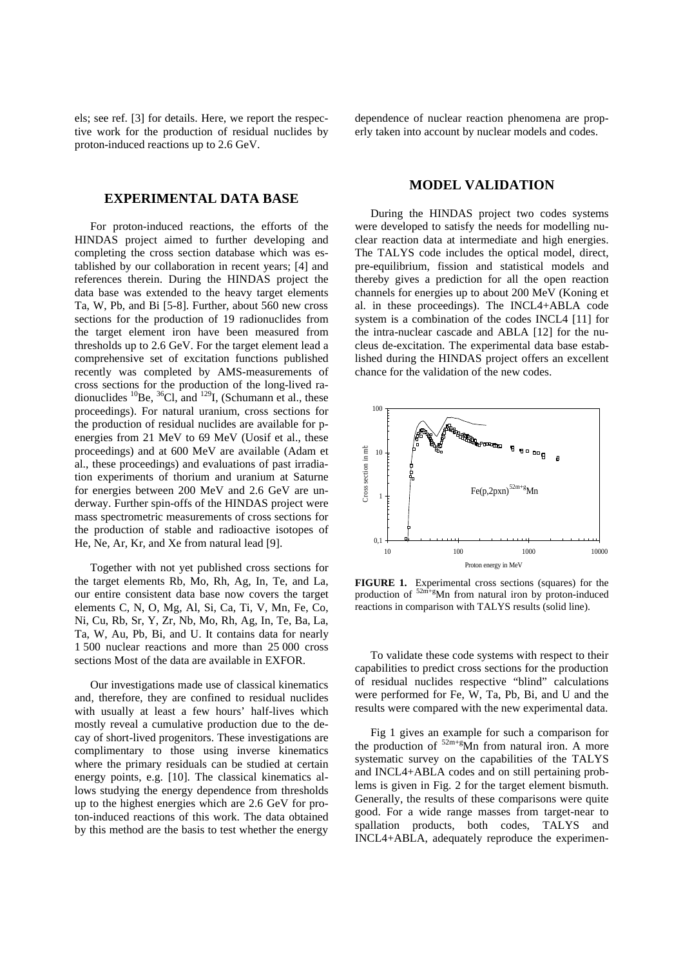els; see ref. [3] for details. Here, we report the respective work for the production of residual nuclides by proton-induced reactions up to 2.6 GeV.

## **EXPERIMENTAL DATA BASE**

For proton-induced reactions, the efforts of the HINDAS project aimed to further developing and completing the cross section database which was established by our collaboration in recent years; [4] and references therein. During the HINDAS project the data base was extended to the heavy target elements Ta, W, Pb, and Bi [5-8]. Further, about 560 new cross sections for the production of 19 radionuclides from the target element iron have been measured from thresholds up to 2.6 GeV. For the target element lead a comprehensive set of excitation functions published recently was completed by AMS-measurements of cross sections for the production of the long-lived radionuclides  ${}^{10}$ Be,  ${}^{36}$ Cl, and  ${}^{129}$ I, (Schumann et al., these proceedings). For natural uranium, cross sections for the production of residual nuclides are available for penergies from 21 MeV to 69 MeV (Uosif et al., these proceedings) and at 600 MeV are available (Adam et al., these proceedings) and evaluations of past irradiation experiments of thorium and uranium at Saturne for energies between 200 MeV and 2.6 GeV are underway. Further spin-offs of the HINDAS project were mass spectrometric measurements of cross sections for the production of stable and radioactive isotopes of He, Ne, Ar, Kr, and Xe from natural lead [9].

Together with not yet published cross sections for the target elements Rb, Mo, Rh, Ag, In, Te, and La, our entire consistent data base now covers the target elements C, N, O, Mg, Al, Si, Ca, Ti, V, Mn, Fe, Co, Ni, Cu, Rb, Sr, Y, Zr, Nb, Mo, Rh, Ag, In, Te, Ba, La, Ta, W, Au, Pb, Bi, and U. It contains data for nearly 1 500 nuclear reactions and more than 25 000 cross sections Most of the data are available in EXFOR.

Our investigations made use of classical kinematics and, therefore, they are confined to residual nuclides with usually at least a few hours' half-lives which mostly reveal a cumulative production due to the decay of short-lived progenitors. These investigations are complimentary to those using inverse kinematics where the primary residuals can be studied at certain energy points, e.g. [10]. The classical kinematics allows studying the energy dependence from thresholds up to the highest energies which are 2.6 GeV for proton-induced reactions of this work. The data obtained by this method are the basis to test whether the energy

dependence of nuclear reaction phenomena are properly taken into account by nuclear models and codes.

#### **MODEL VALIDATION**

During the HINDAS project two codes systems were developed to satisfy the needs for modelling nuclear reaction data at intermediate and high energies. The TALYS code includes the optical model, direct, pre-equilibrium, fission and statistical models and thereby gives a prediction for all the open reaction channels for energies up to about 200 MeV (Koning et al. in these proceedings). The INCL4+ABLA code system is a combination of the codes INCL4 [11] for the intra-nuclear cascade and ABLA [12] for the nucleus de-excitation. The experimental data base established during the HINDAS project offers an excellent chance for the validation of the new codes.



**FIGURE 1.** Experimental cross sections (squares) for the production of  $52m+g$ Mn from natural iron by proton-induced reactions in comparison with TALYS results (solid line).

To validate these code systems with respect to their capabilities to predict cross sections for the production of residual nuclides respective "blind" calculations were performed for Fe, W, Ta, Pb, Bi, and U and the results were compared with the new experimental data.

Fig 1 gives an example for such a comparison for the production of  $52m+g$ Mn from natural iron. A more systematic survey on the capabilities of the TALYS and INCL4+ABLA codes and on still pertaining problems is given in Fig. 2 for the target element bismuth. Generally, the results of these comparisons were quite good. For a wide range masses from target-near to spallation products, both codes, TALYS and INCL4+ABLA, adequately reproduce the experimen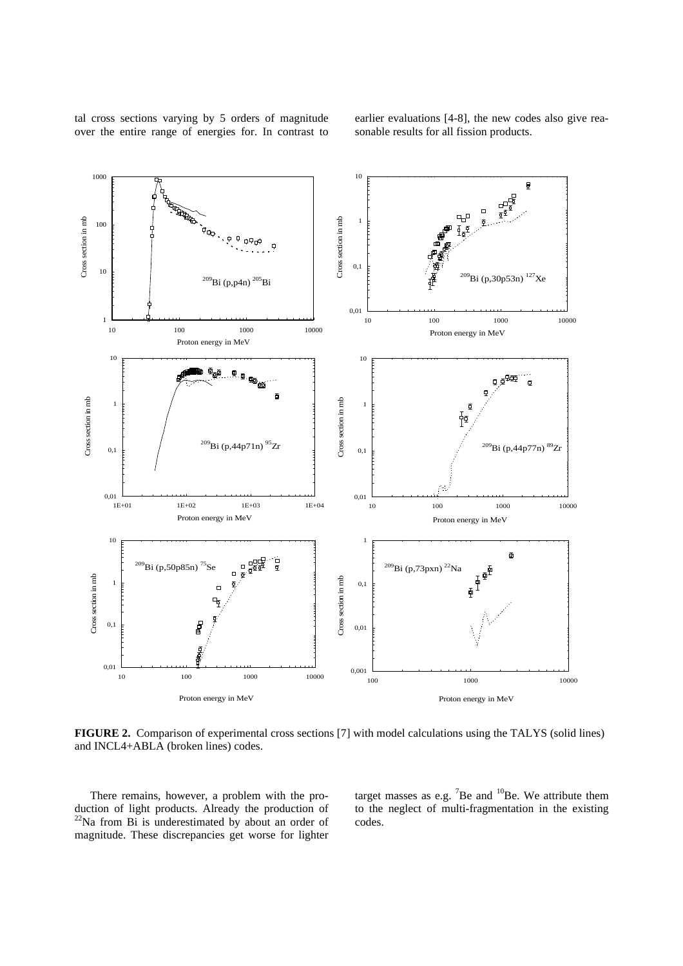tal cross sections varying by 5 orders of magnitude over the entire range of energies for. In contrast to earlier evaluations [4-8], the new codes also give reasonable results for all fission products.



**FIGURE 2.** Comparison of experimental cross sections [7] with model calculations using the TALYS (solid lines) and INCL4+ABLA (broken lines) codes.

There remains, however, a problem with the production of light products. Already the production of  $22$ Na from Bi is underestimated by about an order of magnitude. These discrepancies get worse for lighter target masses as e.g.  $7Be$  and  $10Be$ . We attribute them to the neglect of multi-fragmentation in the existing codes.